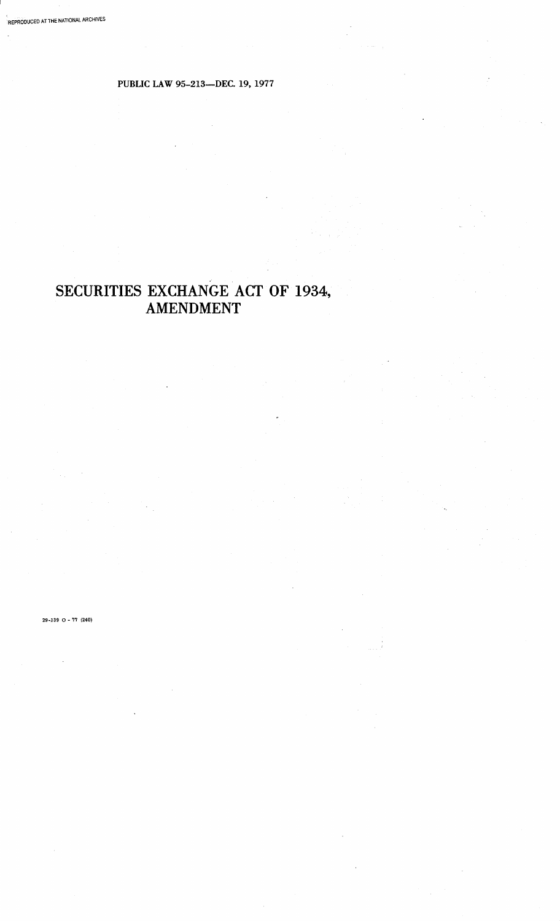# **PUBLIC LAW 95-213-DEC. 19, 1977**

# **SECURITIES EXCHANGE ACT OF 1934, AMENDMENT**

29-139 0 - 77 (240)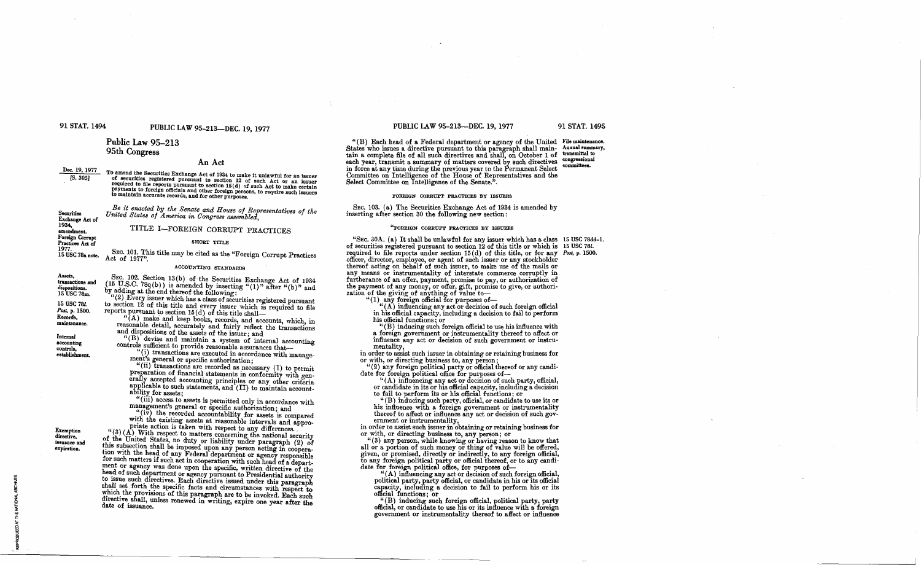#### 91 STAT. 1494

# PUBLIC LAW 95-213-DEC. 19, 1977

# Public Law 95-213 95th Congress

Act of 1977".

#### An Act

Dec. 19, 1977 To amend the Securities Exchange Act of 1934 to make it unlawful for an issuer of securities registered pursuant to section 12 of such Act or an issuer  $[5.305]$ or equiver a respective pursuant to section 16 (d) of such any or an issuer. Payments to foreign officials and other foreign persons, to require such issuers to maintain accurate records, and for other purposes.

> Be it enacted by the Senate and House of Representatives of the United States of America in Congress assembled.

> > TITLE I-FOREIGN CORRUPT PRACTICES

**SHORT TITLE** 

SEC. 101. This title may be cited as the "Foreign Corrupt Practices

"(2) Every issuer which has a class of securities registered pursuant

Exchange Act of 1934, amendment. Foreign Corrupt

Securities

Practices Act of 1977

15 USC 78a note.

#### ACCOUNTING STANDARDS

Assets. SEC. 102. Section 13(b) of the Securities Exchange Act of 1934 (15 U.S.C. 78q(b)) is amended by inserting "(1)" after "(b)" and transactions and ispositions. by adding at the end thereof the following: 15 USC 78m. to section 12 of this title and every issuer which is required to file<br>reports pursuant to section 15(d) of this title shall— 15 USC 781. Post, p. 1500. Records,

Internal accounting controls. establishment.

Exemption<br>directive,

expiration.

issuance and

maintenance

and dispositions of the assets of the issuer: and "(B) devise and maintain a system of internal accounting controls sufficient to provide reasonable assurances that-"(i) transactions are executed in accordance with manage-

ment's general or specific authorization; "(ii) transactions are recorded as necessary (I) to permit

"(A) make and keep books, records, and accounts, which, in

reasonable detail, accurately and fairly reflect the transactions

preparation of financial statements in conformity with genevally accepted accounting principles or any other criteria specificable to such statements, and (II) to maintain accountability for assets;

"(iii) access to assets is permitted only in accordance with management's general or specific authorization; and

"(iv) the recorded accountability for assets is compared<br>with the existing assets at reasonable intervals and appro-<br>priate action is taken with respect to any differences.

"(3) (A) With respect to matters concerning the national security of the United States, no duty or liability under paragraph (2) of This subsection shall be imposed upon any person acting in cooperation.<br>This subsection shall be imposed upon any person acting in cooperation<br>tion with the head of any Federal department or agency responsible<br>for such mat ment or agency was done upon the specific, written directive of the head of such department or agency pursuant to Presidential authority to issue such directives. Each directive issued under this paragraph shall set forth the specific facts and circumstances with respect to which the provisions of this paragraph are to be invoked. Each such directive shall, unless renewed in writing, expire one year after the date of issuance.

#### PUBLIC LAW 95-213--DEC. 19, 1977

"(B) Each head of a Federal department or agency of the United File maintenance. States who issues a directive pursuant to this paragraph shall main- Annual summary,<br>tain a complete file of all such directives and shall, on October 1 of transmittation congressional each year, transmit a summary of matters covered by such directives **rom** mittees. in force at any time during the previous year to the Permanent Select Committee on Intelligence of the House of Representatives and the Select Committee on Intelligence of the Senate.".

#### FOREIGN CORRUPT PRACTICES BY ISSUERS

SEC. 103. (a) The Securities Exchange Act of 1934 is amended by inserting after section 30 the following new section:

#### "FOREIGN CORRUPT PRACTICES BY ISSUERS

"SEC. 30A. (a) It shall be unlawful for any issuer which has a class 15 USC 78dd-1. of securities registered pursuant to section 12 of this title or which is 15 USC 781. required to file reports under section 15(d) of this title, or for any Post, p. 1500. officer, director, employee, or agent of such issuer or any stockholder thereof acting on behalf of such issuer, to make use of the mails or any means or instrumentality of interstate commerce corruptly in any means or mistrumentality of interstate commerce corruptly in<br>the payment of an offer, payment, promise to pay, or authorization of<br>the payment of any money, or offer, gift, promise to give, or authorization<br>zation of t

"(1) any foreign official for purposes of-<br>"(4) influencing any act or decision of such foreign official in his official capacity, including a decision to fail to perform his official functions; or

"(B) inducing such foreign official to use his influence with a foreign government or instrumentality thereof to affect or

influence any act or decision of such government or instru-

 $\label{eq:1} \begin{minipage}{0.9\linewidth} \begin{minipage}{0.9\linewidth} \begin{minipage}{0.9\linewidth} \begin{minipage}{0.9\linewidth} \begin{minipage}{0.9\linewidth} \end{minipage} \end{minipage} \begin{minipage}{0.9\linewidth} \begin{minipage}{0.9\linewidth} \begin{minipage}{0.9\linewidth} \end{minipage} \end{minipage} \begin{minipage}{0.9\linewidth} \begin{minipage}{0.9\linewidth} \begin{minipage}{0.9\linewidth} \end{minipage} \end{minipage} \begin{minipage}{0.9\linewidth} \begin{minipage}{0.9\linewidth} \begin$ or with, or directing business to, any person;

"(2) any foreign political party or official thereof or any candi-<br>date for foreign political office for purposes of—<br>"(A) influencing any act or decision of such party, official,

or candidate in its or his official capacity, including a decision

to fail to perform its or his official functions; or "(B) inducing such party, official, or candidate to use its or

his influence with a foreign government or instrumentality thereof to affect or influence any act or decision of such government or instrumentality,<br>in order to assist such issuer in obtaining or retaining business for

or with, or directing business to, any person; or

"(3) any person, while knowing or having reason to know that all or a portion of such money or thing of value will be offered, given, or promised, directly or indirectly, to any foreign official, strong foreign political party or official thereof, or to any candi-<br>date for foreign political party or official thereof, or to any candi-<br>date for foreign political office, for purposes of—<br>"(A) influencing any act or de

political party, party official, or candidate in his or its official capacity, including a decision to fail to perform his or its official functions; or

"(B) inducing such foreign official, political party, party official, or candidate to use his or its influence with a foreign government or instrumentality thereof to affect or influence

91 STAT. 1495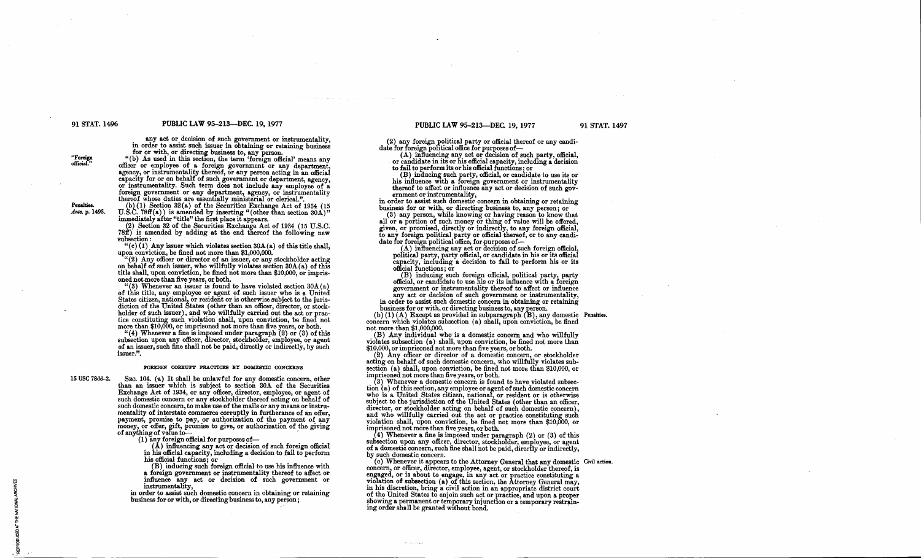#### 91 STAT. 1496 PUBLIC LAW 95-213-DEC. 19, 1977

any act or decision of such government or instrumentality, in order to assist such issuer in obtaining or retaining business for or with, or directing business to, any person.

"(b) As used in this section, the term 'foreign official' means any officer or employee of a foreign government or any department, agency, or instrumentality thereof, or any person acting in an official capacity for or on behalf of such government or department, agency, or instrumentality. foreign government or any department, agency, or instrumentality thereof whose duties are essentially ministerial or clerical.".

Penalties. Ante, p. 1495. (b) (1) Section 32(a) of the Securities Exchange Act of 1934 (15 U.S.C. 78ff(a)) is amended by inserting "(other than section 30A)" immediately after "title" the first place it appears.

(2) Section 32 of the Securities Exchange Act of 1934 (15 U.S.C. 181£) is amended by adding at the end thereof the following new subsection:

"(c) (1) Any issuer which violates section  $30A(a)$  of this title shall, upon conviction, be fined not more than \$1,000,000.

"(2) Any officer or director of an issuer, or any stockholder acting on behalf of such issuer, who willfully violates section 30A(a) of this title shall, upon conviction, be fined not more than \$10,000, or impris-

oned not more than five years, or both.<br>
"(3) Whenever an issuer is found to have violated section  $30A(a)$ of this title, any employee or agent of such issuer who is a United States citizen, national, or resident or is otherwise subject to the jurisdiction of the United States (other than an officer, director, or stock-holder of such issuer), and who willfully carried out the act or pracmore than \$10,000, or imprisoned not more than five years, or both.

"(4) Whenever a fine is imposed under paragraph (2) or (3) of this subsection upon any officer, director, stockholder, employee, or agent of an issuer, such fine shall not be paid, directly or indirectly, by such issuer.".

#### FOREIGN CORRUPT PRACTICES BY DOMESTIO CONCERNS

15 USC 78dd-2.

SEC. 104. (a) It shall be unlawful for any domestic concern, other than an issuer which is subject to section 30A of the Securities Exchange Act of 1934, or any officer, director, employee, or agent of such domestic concern or any stockholder thereof acting on behalf of such domestic concern, to make use of the mails or any means or instrumentality of interstate commerce corruptly in furtherance of an offer. payment, promise to pay, or authorization of the payment of any money, or offer, gift, promise to give, or authorization of the giving of anything of value to-

of anything of value to—<br>(1) any foreign official for purposes of—<br>(A) influencing any act or decision of such foreign official<br>in his official capacity, including a decision to fail to perform

his official functions; or (B) inducing such foreign official to use his influence with a foreign government or instrumentality thereof to affect or instrumentality,  $\frac{1}{\sqrt{2}}$  is  $\frac{1}{\sqrt{2}}$  instrumentality,

in order to assist such domestic concern in obtaining or retaining business for or with, or directing business to, any person;

#### PUBLIC LAW 95-213-DEC. 19, 1977

(2) any foreign political party or offirial thereof or any candi-date for foreign political office for purposes of-

(A) influencing any act or decision of such party, official, or candidate in its or his official capacity, including a decision to fail to perform its or his official functions; or

(B) inducing such party, official, or candidate to use its or his influence with a foreign government or instrumentality. thereof to affect or influence any act or decision of such gov-

in order to assist such domestic concern in obtaining or retaining<br>business for or with, or directing business to, any person; or<br>(3) any person, while knowing or having reason to know that

all or a portion of such money or thing of value will be offered, given, or promised, directly or indirectly, to any foreign official, to any foreign political party or official thereof, or to any candidate for foreign pol

 $(A)$  influencing any act or decision of such foreign official, political party, party official, or candidate in his or its official capacity, including a decision to fail to perform his or its once<br>official functions; or

official functions; or<br>
(B) inducing such foreign official, political party, party<br>
official, or candidate to use his or its influence with a foreign<br>
government or instrumentality thereof to affect or influence any act or decision of such government or instrumentality, in order to assist such domestic concern in obtaining or retaining business for or with, or directing business to, any person.

(b)  $(1)$  (A) Except as provided in subparagraph  $(B)$ , any domestic Penalties. concern which violates subsection (a) shall, upon conviction, be fined not more than \$1,000,000.

(B) Any individual who is a domestic concern and who willfully violates subsection (a) shall, upon conviction, be fined not more than \$10,000, or imprisoned not more than five years, or both.<br>(2) Any officer or director of a domestic concern, or stockholder

acting on behalf of such domestic concern, who willfully violates subsection (a) shall, upon conviction, be fined not more than \$10,000, or imprisoned not more than five years, or both.

(3) Whenever a domestic concern is found to have violated subsection (a) of this section, any employee or agent of such domestic concern tion (a) of this section, any employee or agent of such domestic concern<br>who is a United States citizen, national, or resident or is otherwise<br>subject to the jurisdiction of the United States (other than an officer, director, or stockholder acting on behalf of such domestic concern), and who willfully earried out the act or practice constituting such violation shall, upon conviction, be fined not more than \$10,000, or imprisoned not more than five vears, or both.

(4) Whenever a fine is imposed under paragraph (2) or (3) ofthis subsection upon any officer, director, stockholder, employee, or agent of a domestic concern, such fine shall not be paid, directly or indirectly,<br>by such domestic concern.<br>(c) Whenever it appears to the Attorney General that any domestic Civil action.

concern, or officer, director, employee, agent, or stockholder thereof, is engaged, or is about to engage, in any act or practice constituting a violation of subsection (a) of this section, the Attorney General may, in his discretion, bring a civil action in an appropriate district court showing a permanent or temporary injunction or a temporary restraining order shall be granted WIthout bond.

91 STAT. 1497

**"Foreign official."**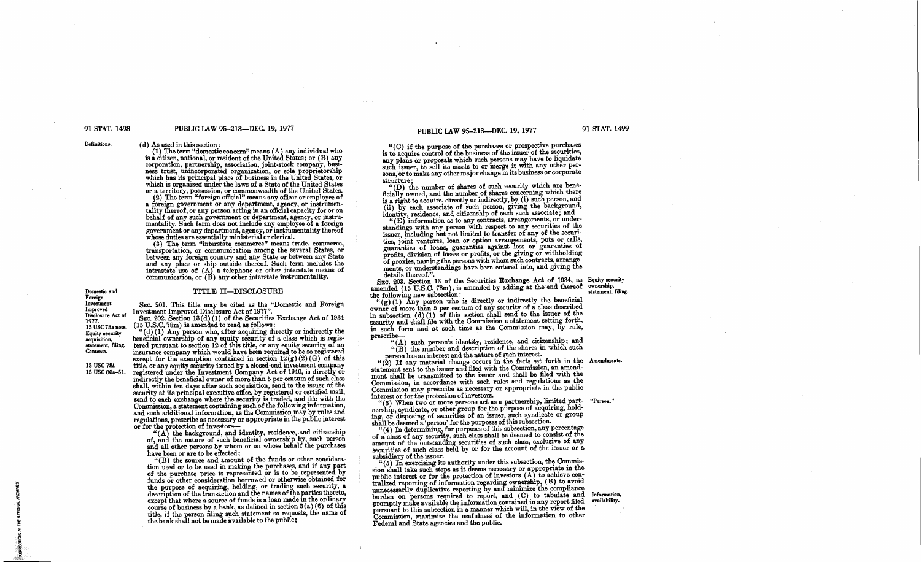#### 91 STAT. 1498 PUBLIC LAW 95-213-DEC. 19, 1977

### PUBLIC LAW 95-213-DEC. 19, 1977

91 STAT. 1499

( d) As used in this section:

 $(1)$  The term "domestic concern" means  $(A)$  any individual who is a citizen, national, or resident of the United States; or (B) any corporation, partnership, association, joint-stock company, business trust, unincorporated organization, or sole proprietorship which has its principal place of business in the United States, or which is organized under the laws of a State of the United States or or a territory, posses

(2) The term "foreign official" means any officer or employee of a foreign government or any department, agency, or instrumentality thereof, or any person acting in an official capacity for or on behalf of any such government or department, agency, or instrumentality. Such term does not include any employee of a foreign government or any department, agency, or instrumentality thereof whose duties are essentially ministerial or clerical.

(3) The term "interstate commerce" means trade, commerce, transportation, or communication among the several States, or between any foreign country and any State or between any state and any place or ship outside thereof. Such term includes the intrastate use of  $(A)$  a telephone or other interstate means of communication, or  $(B)$  any other interstate instrumentality.

Improved<br>Disclosure Act of 1977.<br>15 USC 78a note. **Equity security** acquisition, statement, filing.<br>Contents.

15 USC 781. 15 USC 80a-51. TITLE II-DISCLOSURE

SEC. 201. This title may be cited as the "Domestic and Foreign

Investment Improved Discussive Act of 1911.<br>Sec. 202. Section 13(d) (1) of the Securities Exchange Act of 1934

 $'(d)(1)$  Any person who, after acquiring directly or indirectly the beneficial ownership of any equity security of a class which is regis-<br>tered pursuant to section 12 of this title, or any equity security of an<br>increase increase company which would have been required to be so registered insurance company which would have been required to be so registered<br>except for the exemption contained in section  $12(g)(2)(G)$  of this title, or any equity security issued by a closed-end investment company registered under the Investment Company Act of 1940, is directly or indirectly the beneficial owner of more than 5 per centum of such class shall, within ten days after such acquisition, send to the issuer of the security at its principal executive office, by registered or certified mail,

send to each exchange where the security is traded, and file with the Commission, a statement containing such of the following information and such additional information, as the Commission may by rules and regulations, prescribe as necessary or appropriate in the public interest or for the protection of investors-

" $(A)$  the background, and identity, residence, and citizenship (A) the background, and dentity, residence, and christming of, and the nature of such beneficial ownership by, such person had all other persons by whom or on whose behalf the purchases

have been or are to be effected;<br>"(B) the source and amount of the funds or other consideration used or to be used in making the purchases, and if any part of the purchase price is represented or is to be represented by funds or other consideration borrowed or otherwise obtained for the purpose of acquiring, holding, or trading such security, a description of the transaction and the names of the parties thereto, except that where a source of funds is a loan made in the ordinary course of business by a bank, as defined in section  $3(a)(6)$  of this title, if the person filing such statement so requests, the name of the bank shall not be made available to the pubhc;

"(C) if the purpose of the purchases or prospective purchases is to acquire control of the busmess of the issuer of the securities, any plans or proposals which such persons may have to liquidate such issuer, to sell its assets to or merge it with any other persons, or to make any other major change in its business or corporate structure:

"(D) the number of shares of such security which are beneficially owned, and the number of shares concerning which there is a right to acquire, directly or indirectly, by (i) such person, and (ii) by each associate of such person, giving the background, identity, residence, and citizenship of each such associate; and

"(E) information as to any contracts, arrangements, or understandings with any person with respect to any securities of the issuer, including but not limited to transfer of any of the securities, joint ventures, loan or option arrangements, puts or calls, guaranties of loans, guaranties against 10ss or guaranties of profits, division of losses or profits, or the giving or withholding of proxies, naming the persons with whom such contracts, arrangements, or understandings have been entered into, and giving the details thereof.".

SEC. 203. Section 13 of the Securities Exchange Act of 1934, as Equity securities amended (15 U.S.C. 78m), is amended by adding at the end thereof outcomes the following new subsection:<br>" $(2)(1)$  Any person who is directly or indirectly the beneficial SEC. 203. Section 13 of the Securities Exchange Act of 1934, as Equity security statement, filing.

 $\binom{u}{g}(1)$  Any person who is directly or indirectly the beneficial owner of more than 5 per centum of any security of a class described in subsection (d) (1) of this section shall send to the issuer of the security and shall file with the Commission a statement setting forth, in such form and at such time as the Commission may, by rule, prescribe-

 $\tilde{H}(A)$  such person's identity, residence, and citizenship; and "(B) the number and description of the shares in which such person has an interest and the nature of such interest.

person has an interest and the nature of such measures.<br> **Amendments**<br> **Amendment set forth in the Amendments.**<br> **Amendment sent to the issuer and filed with the Commission, an amend**ment shall be transmitted to the issuer and shall be filed with the Commission, in accordance with such rules and regulations as the Commission may prescribe as necessary or appropriate in the public interest or for the protection of investors.

"(3) When two or more persons act as a partnership, limited part-**"Person,"**  nership, syndicate, or other group for the purpose of acquiring, hold-<br>ing, or disposing of securities of an issuer, such syndicate or group shall be deemed a 'person' for the purposes of this subsection.

"(4) In determining, for purposes of this subsection, any percentage of a class of any secunty, such class shall be deemed to consist of the amount of the outstandmg securities of such class, exclusive of any securities of such class held by or for the account of the issuer or a subsidiary of the issuer.

subsidiary of the issuer.<br>"(5) In exercising its authority under this subsection, the Commission shall take such steps as it deems necessary or appropriate in the public interest or for the protection of investors  $(A)$  to achieve cenpublic interest or for the protection of information of equal of information regarding ownership, (B) to avoid unnecessarily duplicative reporting by and minimize the compliance burden on persons required to report, and (C) to tabulate and Information promptly make available the information contained in any report filed availability. pursuant to this subsection in a manner which will, in the view of the Commission, maximize the usefulness of the information to other Federal and State agencies and the public.

**Domestic and Foreign** Investment<br>Improved

Definitions.